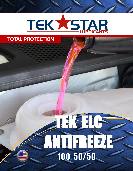## TEKXSTAR

## TOTAL PROTECTION

# TEK ELGE **ANTIFREEZE**